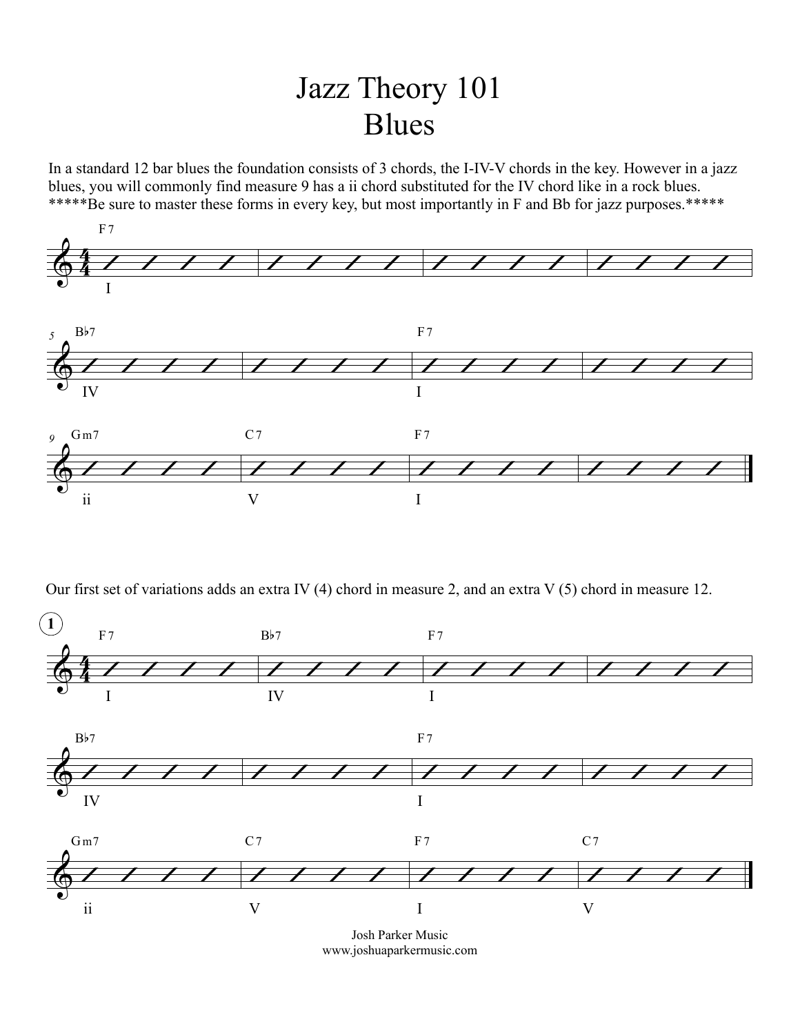## Jazz Theory 101 Blues

In a standard 12 bar blues the foundation consists of 3 chords, the I-IV-V chords in the key. However in a jazz blues, you will commonly find measure 9 has a ii chord substituted for the IV chord like in a rock blues. \*\*\*\*\*Be sure to master these forms in every key, but most importantly in F and Bb for jazz purposes.\*\*\*\*\*



Our first set of variations adds an extra IV (4) chord in measure 2, and an extra V (5) chord in measure 12.



Josh Parker Music www.joshuaparkermusic.com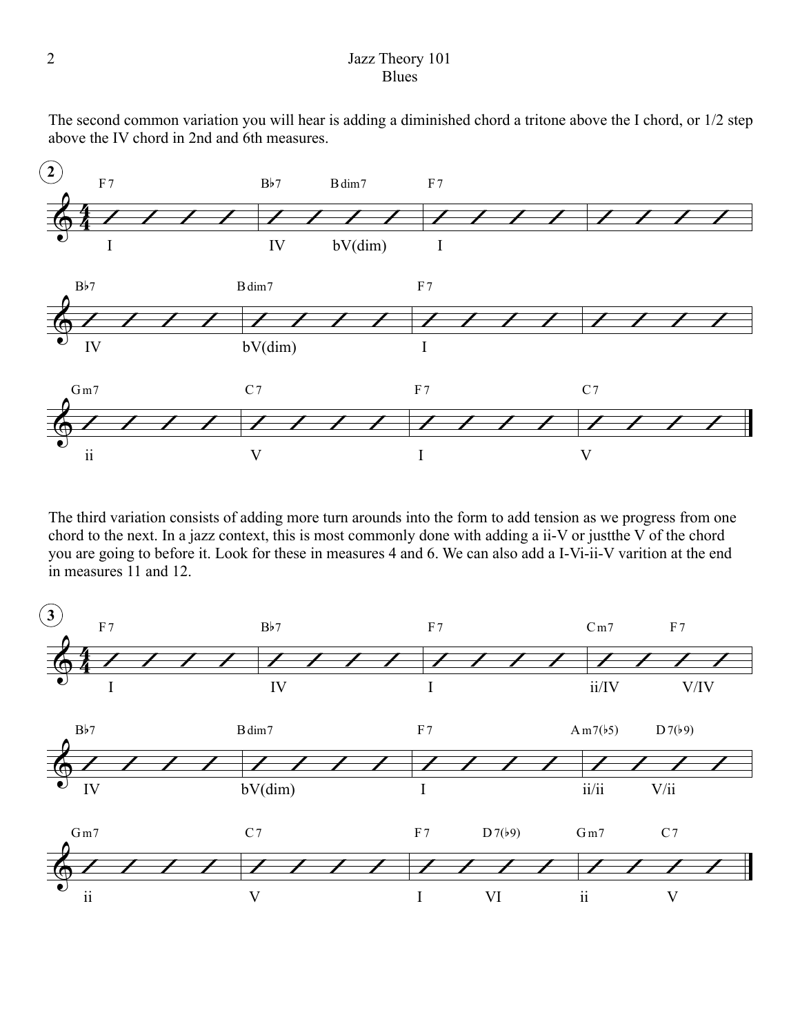## 2 Jazz Theory 101 **Blues**

The second common variation you will hear is adding a diminished chord a tritone above the I chord, or 1/2 step above the IV chord in 2nd and 6th measures.



The third variation consists of adding more turn arounds into the form to add tension as we progress from one chord to the next. In a jazz context, this is most commonly done with adding a ii-V or justthe V of the chord you are going to before it. Look for these in measures 4 and 6. We can also add a I-Vi-ii-V varition at the end in measures 11 and 12.